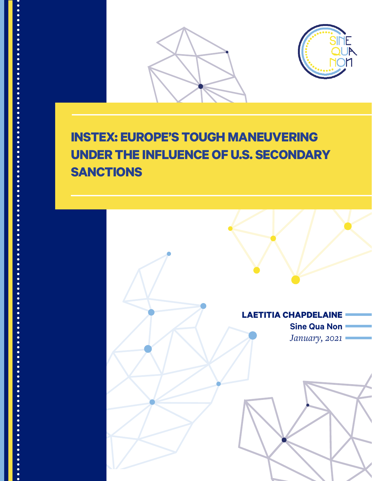

JANUARY, 2021 *INSTEX: Europe's Tough Maneuvering* 1



# **INSTEX: EUROPE'S TOUGH MANEUVERING UNDER THE INFLUENCE OF U.S. SECONDARY SANCTIONS**

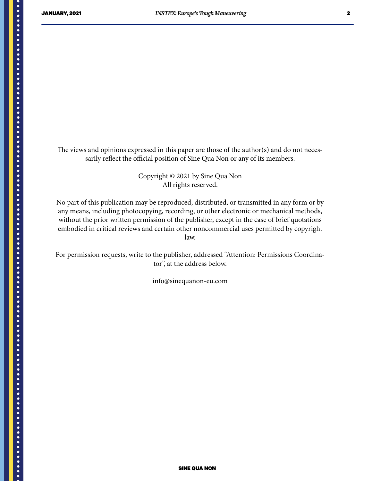The views and opinions expressed in this paper are those of the author(s) and do not necessarily reflect the official position of Sine Qua Non or any of its members.

> Copyright © 2021 by Sine Qua Non All rights reserved.

No part of this publication may be reproduced, distributed, or transmitted in any form or by any means, including photocopying, recording, or other electronic or mechanical methods, without the prior written permission of the publisher, except in the case of brief quotations embodied in critical reviews and certain other noncommercial uses permitted by copyright law.

For permission requests, write to the publisher, addressed "Attention: Permissions Coordinator", at the address below.

info@sinequanon-eu.com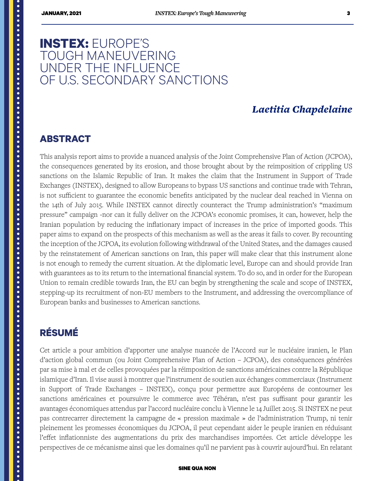# **INSTEX:** EUROPE'S TOUGH MANEUVERING UNDER THE INFLUENCE OF U.S. SECONDARY SANCTIONS

### *Laetitia Chapdelaine*

#### **ABSTRACT**

This analysis report aims to provide a nuanced analysis of the Joint Comprehensive Plan of Action (JCPOA), the consequences generated by its erosion, and those brought about by the reimposition of crippling US sanctions on the Islamic Republic of Iran. It makes the claim that the Instrument in Support of Trade Exchanges (INSTEX), designed to allow Europeans to bypass US sanctions and continue trade with Tehran, is not sufficient to guarantee the economic benefits anticipated by the nuclear deal reached in Vienna on the 14th of July 2015. While INSTEX cannot directly counteract the Trump administration's "maximum pressure" campaign -nor can it fully deliver on the JCPOA's economic promises, it can, however, help the Iranian population by reducing the inflationary impact of increases in the price of imported goods. This paper aims to expand on the prospects of this mechanism as well as the areas it fails to cover. By recounting the inception of the JCPOA, its evolution following withdrawal of the United States, and the damages caused by the reinstatement of American sanctions on Iran, this paper will make clear that this instrument alone is not enough to remedy the current situation. At the diplomatic level, Europe can and should provide Iran with guarantees as to its return to the international financial system. To do so, and in order for the European Union to remain credible towards Iran, the EU can begin by strengthening the scale and scope of INSTEX, stepping-up its recruitment of non-EU members to the Instrument, and addressing the overcompliance of European banks and businesses to American sanctions.

# **RÉSUMÉ**

<span id="page-2-0"></span>

Cet article a pour ambition d'apporter une analyse nuancée de l'Accord sur le nucléaire iranien, le Plan d'action global commun (ou Joint Comprehensive Plan of Action – JCPOA), des conséquences générées par sa mise à mal et de celles provoquées par la réimposition de sanctions américaines contre la République islamique d'Iran. Il vise aussi à montrer que l'instrument de soutien aux échanges commerciaux (Instrument in Support of Trade Exchanges – INSTEX), conçu pour permettre aux Européens de contourner les sanctions américaines et poursuivre le commerce avec Téhéran, n'est pas suffisant pour garantir les avantages économiques attendus par l'accord nucléaire conclu à Vienne le 14 Juillet 2015. Si INSTEX ne peut pas contrecarrer directement la campagne de « pression maximale » de l'administration Trump, ni tenir pleinement les promesses économiques du JCPOA, il peut cependant aider le peuple iranien en réduisant l'effet inflationniste des augmentations du prix des marchandises importées. Cet article développe les perspectives de ce mécanisme ainsi que les domaines qu'il ne parvient pas à couvrir aujourd'hui. En relatant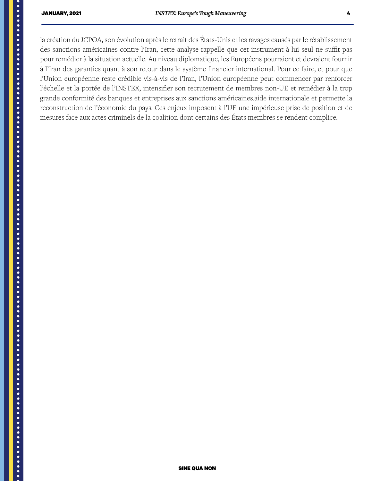la création du JCPOA, son évolution après le retrait des États-Unis et les ravages causés par le rétablissement des sanctions américaines contre l'Iran, cette analyse rappelle que cet instrument à lui seul ne suffit pas pour remédier à la situation actuelle. Au niveau diplomatique, les Européens pourraient et devraient fournir à l'Iran des garanties quant à son retour dans le système financier international. Pour ce faire, et pour que l'Union européenne reste crédible vis-à-vis de l'Iran, l'Union européenne peut commencer par renforcer l'échelle et la portée de l'INSTEX, intensifier son recrutement de membres non-UE et remédier à la trop grande conformité des banques et entreprises aux sanctions américaines.aide internationale et permette la reconstruction de l'économie du pays. Ces enjeux imposent à l'UE une impérieuse prise de position et de mesures face aux actes criminels de la coalition dont certains des États membres se rendent complice.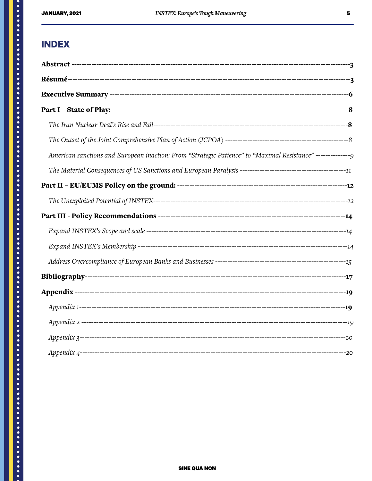#### **INDEX**

| American sanctions and European inaction: From "Strategic Patience" to "Maximal Resistance" ----------------- |  |
|---------------------------------------------------------------------------------------------------------------|--|
|                                                                                                               |  |
|                                                                                                               |  |
|                                                                                                               |  |
|                                                                                                               |  |
|                                                                                                               |  |
|                                                                                                               |  |
|                                                                                                               |  |
|                                                                                                               |  |
|                                                                                                               |  |
|                                                                                                               |  |
|                                                                                                               |  |
|                                                                                                               |  |
|                                                                                                               |  |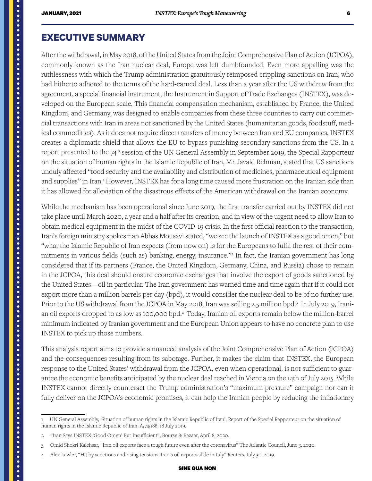#### <span id="page-5-0"></span>**EXECUTIVE SUMMARY**

After the withdrawal, in May 2018, of the United States from the Joint Comprehensive Plan of Action (JCPOA), commonly known as the Iran nuclear deal, Europe was left dumbfounded. Even more appalling was the ruthlessness with which the Trump administration gratuitously reimposed crippling sanctions on Iran, who had hitherto adhered to the terms of the hard-earned deal. Less than a year after the US withdrew from the agreement, a special financial instrument, the Instrument in Support of Trade Exchanges (INSTEX), was developed on the European scale. This financial compensation mechanism, established by France, the United Kingdom, and Germany, was designed to enable companies from these three countries to carry out commercial transactions with Iran in areas not sanctioned by the United States (humanitarian goods, foodstuff, medical commodities). As it does not require direct transfers of money between Iran and EU companies, INSTEX creates a diplomatic shield that allows the EU to bypass punishing secondary sanctions from the US. In a report presented to the 74<sup>th</sup> session of the UN General Assembly in September 2019, the Special Rapporteur on the situation of human rights in the Islamic Republic of Iran, Mr. Javaid Rehman, stated that US sanctions unduly affected "food security and the availability and distribution of medicines, pharmaceutical equipment and supplies" in Iran.<sup>1</sup> However, INSTEX has for a long time caused more frustration on the Iranian side than it has allowed for alleviation of the disastrous effects of the American withdrawal on the Iranian economy.

While the mechanism has been operational since June 2019, the first transfer carried out by INSTEX did not take place until March 2020, a year and a half after its creation, and in view of the urgent need to allow Iran to obtain medical equipment in the midst of the COVID-19 crisis. In the first official reaction to the transaction, Iran's foreign ministry spokesman Abbas Mousavi stated, "we see the launch of INSTEX as a good omen," but "what the Islamic Republic of Iran expects (from now on) is for the Europeans to fulfil the rest of their commitments in various fields (such as) banking, energy, insurance."2 In fact, the Iranian government has long considered that if its partners (France, the United Kingdom, Germany, China, and Russia) chose to remain in the JCPOA, this deal should ensure economic exchanges that involve the export of goods sanctioned by the United States—oil in particular. The Iran government has warned time and time again that if it could not export more than a million barrels per day (bpd), it would consider the nuclear deal to be of no further use. Prior to the US withdrawal from the JCPOA in May 2018, Iran was selling 2.5 million bpd.<sup>3</sup> In July 2019, Iranian oil exports dropped to as low as 100,000 bpd.4 Today, Iranian oil exports remain below the million-barrel minimum indicated by Iranian government and the European Union appears to have no concrete plan to use INSTEX to pick up those numbers.

This analysis report aims to provide a nuanced analysis of the Joint Comprehensive Plan of Action (JCPOA) and the consequences resulting from its sabotage. Further, it makes the claim that INSTEX, the European response to the United States' withdrawal from the JCPOA, even when operational, is not sufficient to guarantee the economic benefits anticipated by the nuclear deal reached in Vienna on the 14th of July 2015. While INSTEX cannot directly counteract the Trump administration's "maximum pressure" campaign nor can it fully deliver on the JCPOA's economic promises, it can help the Iranian people by reducing the inflationary

<sup>1</sup> UN General Assembly, 'Situation of human rights in the Islamic Republic of Iran', Report of the Special Rapporteur on the situation of human rights in the Islamic Republic of Iran, A/74/188, 18 July 2019.

<sup>2 &</sup>quot;Iran Says INSTEX 'Good Omen' But Insufficient", Bourse & Bazaar, April 8, 2020.

<sup>3</sup> Omid Shokri Kalehsar, "Iran oil exports face a tough future even after the coronavirus" The Atlantic Council, June 3, 2020.

<sup>4</sup> Alex Lawler, "Hit by sanctions and rising tensions, Iran's oil exports slide in July" Reuters, July 30, 2019.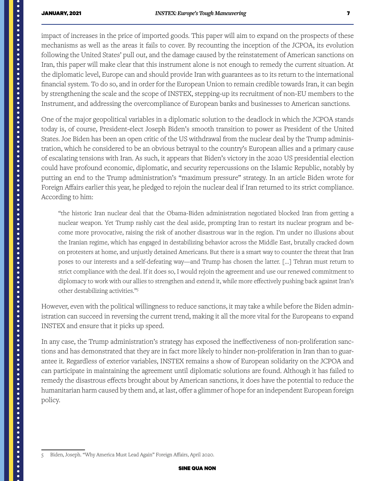impact of increases in the price of imported goods. This paper will aim to expand on the prospects of these mechanisms as well as the areas it fails to cover. By recounting the inception of the JCPOA, its evolution following the United States' pull out, and the damage caused by the reinstatement of American sanctions on Iran, this paper will make clear that this instrument alone is not enough to remedy the current situation. At the diplomatic level, Europe can and should provide Iran with guarantees as to its return to the international financial system. To do so, and in order for the European Union to remain credible towards Iran, it can begin by strengthening the scale and the scope of INSTEX, stepping-up its recruitment of non-EU members to the Instrument, and addressing the overcompliance of European banks and businesses to American sanctions.

One of the major geopolitical variables in a diplomatic solution to the deadlock in which the JCPOA stands today is, of course, President-elect Joseph Biden's smooth transition to power as President of the United States. Joe Biden has been an open critic of the US withdrawal from the nuclear deal by the Trump administration, which he considered to be an obvious betrayal to the country's European allies and a primary cause of escalating tensions with Iran. As such, it appears that Biden's victory in the 2020 US presidential election could have profound economic, diplomatic, and security repercussions on the Islamic Republic, notably by putting an end to the Trump administration's "maximum pressure" strategy. In an article Biden wrote for Foreign Affairs earlier this year, he pledged to rejoin the nuclear deal if Iran returned to its strict compliance. According to him:

"the historic Iran nuclear deal that the Obama-Biden administration negotiated blocked Iran from getting a nuclear weapon. Yet Trump rashly cast the deal aside, prompting Iran to restart its nuclear program and become more provocative, raising the risk of another disastrous war in the region. I'm under no illusions about the Iranian regime, which has engaged in destabilizing behavior across the Middle East, brutally cracked down on protesters at home, and unjustly detained Americans. But there is a smart way to counter the threat that Iran poses to our interests and a self-defeating way—and Trump has chosen the latter. […] Tehran must return to strict compliance with the deal. If it does so, I would rejoin the agreement and use our renewed commitment to diplomacy to work with our allies to strengthen and extend it, while more effectively pushing back against Iran's other destabilizing activities."5

However, even with the political willingness to reduce sanctions, it may take a while before the Biden administration can succeed in reversing the current trend, making it all the more vital for the Europeans to expand INSTEX and ensure that it picks up speed.

In any case, the Trump administration's strategy has exposed the ineffectiveness of non-proliferation sanctions and has demonstrated that they are in fact more likely to hinder non-proliferation in Iran than to guarantee it. Regardless of exterior variables, INSTEX remains a show of European solidarity on the JCPOA and can participate in maintaining the agreement until diplomatic solutions are found. Although it has failed to remedy the disastrous effects brought about by American sanctions, it does have the potential to reduce the humanitarian harm caused by them and, at last, offer a glimmer of hope for an independent European foreign policy.

<sup>5</sup> Biden, Joseph. "Why America Must Lead Again" Foreign Affairs, April 2020.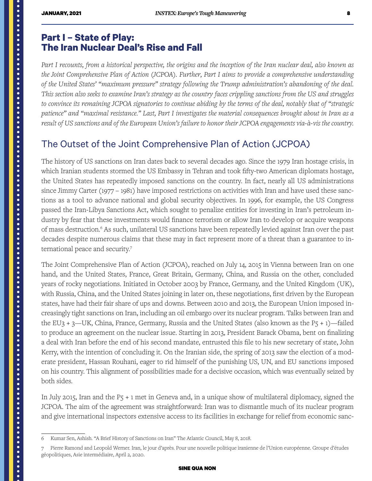#### <span id="page-7-0"></span>**Part I – State of Play: The Iran Nuclear Deal's Rise and Fall**

Part I recounts, from a historical perspective, the origins and the inception of the Iran nuclear deal, also known as *the Joint Comprehensive Plan of Action (JCPOA). Further, Part I aims to provide a comprehensive understanding of the United States' "maximum pressure" strategy following the Trump administration's abandoning of the deal. This section also seeks to examine Iran's strategy as the country faces crippling sanctions from the US and struggles to convince its remaining JCPOA signatories to continue abiding by the terms of the deal, notably that of "strategic*  patience" and "maximal resistance." Last, Part I investigates the material consequences brought about in Iran as a *result of US sanctions and of the European Union's failure to honor their JCPOA engagements via-à-vis the country.* 

## The Outset of the Joint Comprehensive Plan of Action (JCPOA)

The history of US sanctions on Iran dates back to several decades ago. Since the 1979 Iran hostage crisis, in which Iranian students stormed the US Embassy in Tehran and took fifty-two American diplomats hostage, the United States has repeatedly imposed sanctions on the country. In fact, nearly all US administrations since Jimmy Carter (1977 – 1981) have imposed restrictions on activities with Iran and have used these sanctions as a tool to advance national and global security objectives. In 1996, for example, the US Congress passed the Iran-Libya Sanctions Act, which sought to penalize entities for investing in Iran's petroleum industry by fear that these investments would finance terrorism or allow Iran to develop or acquire weapons of mass destruction.<sup>6</sup> As such, unilateral US sanctions have been repeatedly levied against Iran over the past decades despite numerous claims that these may in fact represent more of a threat than a guarantee to international peace and security.7

The Joint Comprehensive Plan of Action (JCPOA), reached on July 14, 2015 in Vienna between Iran on one hand, and the United States, France, Great Britain, Germany, China, and Russia on the other, concluded years of rocky negotiations. Initiated in October 2003 by France, Germany, and the United Kingdom (UK), with Russia, China, and the United States joining in later on, these negotiations, first driven by the European states, have had their fair share of ups and downs. Between 2010 and 2013, the European Union imposed increasingly tight sanctions on Iran, including an oil embargo over its nuclear program. Talks between Iran and the EU3 + 3—UK, China, France, Germany, Russia and the United States (also known as the  $P_5 + 1$ )—failed to produce an agreement on the nuclear issue. Starting in 2013, President Barack Obama, bent on finalizing a deal with Iran before the end of his second mandate, entrusted this file to his new secretary of state, John Kerry, with the intention of concluding it. On the Iranian side, the spring of 2013 saw the election of a moderate president, Hassan Rouhani, eager to rid himself of the punishing US, UN, and EU sanctions imposed on his country. This alignment of possibilities made for a decisive occasion, which was eventually seized by both sides.

In July 2015, Iran and the P5 + 1 met in Geneva and, in a unique show of multilateral diplomacy, signed the JCPOA. The aim of the agreement was straightforward: Iran was to dismantle much of its nuclear program and give international inspectors extensive access to its facilities in exchange for relief from economic sanc-

<sup>6</sup> Kumar Sen, Ashish. "A Brief History of Sanctions on Iran" The Atlantic Council, May 8, 2018.

<sup>7</sup> Pierre Ramond and Leopold Werner. Iran, le jour d'après. Pour une nouvelle politique iranienne de l'Union européenne. Groupe d'études géopolitiques, Asie intermédiaire, April 2, 2020.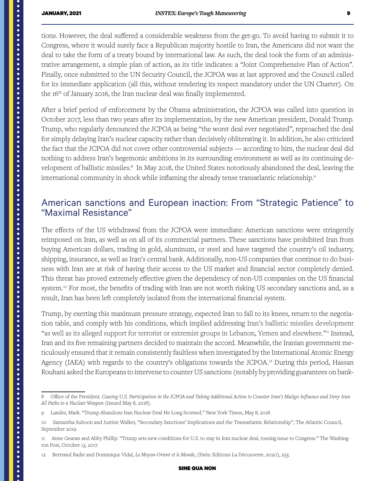<span id="page-8-0"></span>tions. However, the deal suffered a considerable weakness from the get-go. To avoid having to submit it to Congress, where it would surely face a Republican majority hostile to Iran, the Americans did not want the deal to take the form of a treaty bound by international law. As such, the deal took the form of an administrative arrangement, a simple plan of action, as its title indicates: a "Joint Comprehensive Plan of Action". Finally, once submitted to the UN Security Council, the JCPOA was at last approved and the Council called for its immediate application (all this, without rendering its respect mandatory under the UN Charter). On the 16<sup>th</sup> of January 2016, the Iran nuclear deal was finally implemented.

After a brief period of enforcement by the Obama administration, the JCPOA was called into question in October 2017, less than two years after its implementation, by the new American president, Donald Trump. Trump, who regularly denounced the JCPOA as being "the worst deal ever negotiated", reproached the deal for simply delaying Iran's nuclear capacity rather than decisively obliterating it. In addition, he also criticized the fact that the JCPOA did not cover other controversial subjects — according to him, the nuclear deal did nothing to address Iran's hegemonic ambitions in its surrounding environment as well as its continuing development of ballistic missiles.<sup>8</sup> In May 2018, the United States notoriously abandoned the deal, leaving the international community in shock while inflaming the already tense transatlantic relationship.9

#### American sanctions and European inaction: From "Strategic Patience" to "Maximal Resistance"

The effects of the US withdrawal from the JCPOA were immediate: American sanctions were stringently reimposed on Iran, as well as on all of its commercial partners. These sanctions have prohibited Iran from buying American dollars, trading in gold, aluminum, or steel and have targeted the country's oil industry, shipping, insurance, as well as Iran's central bank. Additionally, non-US companies that continue to do business with Iran are at risk of having their access to the US market and financial sector completely denied. This threat has proved extremely effective given the dependency of non-US companies on the US financial system.<sup>10</sup> For most, the benefits of trading with Iran are not worth risking US secondary sanctions and, as a result, Iran has been left completely isolated from the international financial system.

Trump, by exerting this maximum pressure strategy, expected Iran to fall to its knees, return to the negotiation table, and comply with his conditions, which implied addressing Iran's ballistic missiles development "as well as its alleged support for terrorist or extremist groups in Lebanon, Yemen and elsewhere."" Instead, Iran and its five remaining partners decided to maintain the accord. Meanwhile, the Iranian government meticulously ensured that it remain consistently faultless when investigated by the International Atomic Energy Agency (IAEA) with regards to the country's obligations towards the JCPOA.<sup>12</sup> During this period, Hassan Rouhani asked the Europeans to intervene to counter US sanctions (notably by providing guarantees on bank-

<sup>8</sup> Office of the President. *Ceasing U.S. Participation in the JCPOA and Taking Additional Action to Counter Iran's Malign Influence and Deny Iran All Paths to a Nuclear Weapon* (Issued May 8, 2018).

<sup>9</sup> Lander, Mark. "Trump Abandons Iran Nuclear Deal He Long Scorned." New York Times, May 8, 2018.

<sup>10</sup> Samantha Sultoon and Justine Walker, "Secondary Sanctions' Implications and the Transatlantic Relationship", The Atlantic Council, September 2019.

<sup>11</sup> Anne Gearan and Abby Phillip. "Trump sets new conditions for U.S. to stay in Iran nuclear deal, tossing issue to Congress." The Washington Post, October 13, 2017.

<sup>12</sup> Bertrand Badie and Dominique Vidal, *Le Moyen-Orient et le Monde*, (Paris: Editions La Découverte, 2020), 253.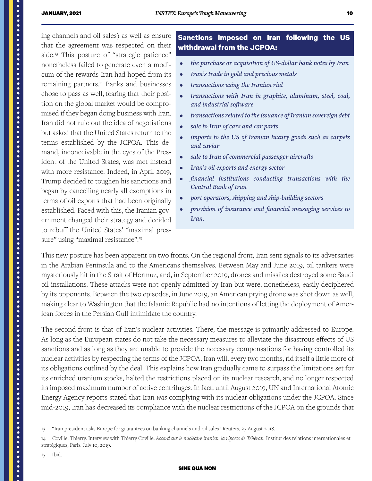ing channels and oil sales) as well as ensure that the agreement was respected on their side.13 This posture of "strategic patience" nonetheless failed to generate even a modicum of the rewards Iran had hoped from its remaining partners.14 Banks and businesses chose to pass as well, fearing that their position on the global market would be compromised if they began doing business with Iran. Iran did not rule out the idea of negotiations but asked that the United States return to the terms established by the JCPOA. This demand, inconceivable in the eyes of the President of the United States, was met instead with more resistance. Indeed, in April 2019, Trump decided to toughen his sanctions and began by cancelling nearly all exemptions in terms of oil exports that had been originally established. Faced with this, the Iranian government changed their strategy and decided to rebuff the United States' "maximal pressure" using "maximal resistance".<sup>15</sup>

#### **Sanctions imposed on Iran following the US withdrawal from the JCPOA:**

- *• the purchase or acquisition of US-dollar bank notes by Iran*
- *• Iran's trade in gold and precious metals*
- *• transactions using the Iranian rial*
- *• transactions with Iran in graphite, aluminum, steel, coal, and industrial software*
- *• transactions related to the issuance of Iranian sovereign debt*
- *• sale to Iran of cars and car parts*
- *• imports to the US of Iranian luxury goods such as carpets and caviar*
- *• sale to Iran of commercial passenger aircrafts*
- *• Iran's oil exports and energy sector*
- *• financial institutions conducting transactions with the Central Bank of Iran*
- *• port operators, shipping and ship-building sectors*
- *• provision of insurance and financial messaging services to Iran.*

This new posture has been apparent on two fronts. On the regional front, Iran sent signals to its adversaries in the Arabian Peninsula and to the Americans themselves. Between May and June 2019, oil tankers were mysteriously hit in the Strait of Hormuz, and, in September 2019, drones and missiles destroyed some Saudi oil installations. These attacks were not openly admitted by Iran but were, nonetheless, easily deciphered by its opponents. Between the two episodes, in June 2019, an American prying drone was shot down as well, making clear to Washington that the Islamic Republic had no intentions of letting the deployment of American forces in the Persian Gulf intimidate the country.

The second front is that of Iran's nuclear activities. There, the message is primarily addressed to Europe. As long as the European states do not take the necessary measures to alleviate the disastrous effects of US sanctions and as long as they are unable to provide the necessary compensations for having controlled its nuclear activities by respecting the terms of the JCPOA, Iran will, every two months, rid itself a little more of its obligations outlined by the deal. This explains how Iran gradually came to surpass the limitations set for its enriched uranium stocks, halted the restrictions placed on its nuclear research, and no longer respected its imposed maximum number of active centrifuges. In fact, until August 2019, UN and International Atomic Energy Agency reports stated that Iran *was* complying with its nuclear obligations under the JCPOA. Since mid-2019, Iran has decreased its compliance with the nuclear restrictions of the JCPOA on the grounds that

<sup>13 &</sup>quot;Iran president asks Europe for guarantees on banking channels and oil sales" Reuters, 27 August 2018.

<sup>14</sup> Coville, Thierry. Interview with Thierry Coville. *Accord sur le nucléaire iranien: la riposte de Téhéran.* Institut des relations internationales et stratégiques, Paris. July 10, 2019.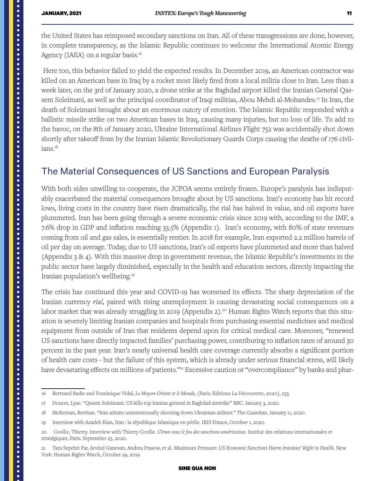<span id="page-10-0"></span>the United States has reimposed secondary sanctions on Iran. All of these transgressions are done, however, in complete transparency, as the Islamic Republic continues to welcome the International Atomic Energy Agency (IAEA) on a regular basis.<sup>16</sup>

 Here too, this behavior failed to yield the expected results. In December 2019, an American contractor was killed on an American base in Iraq by a rocket most likely fired from a local militia close to Iran. Less than a week later, on the 3rd of January 2020, a drone strike at the Baghdad airport killed the Iranian General Qassem Soleimani, as well as the principal coordinator of Iraqi militias, Abou Mehdi al-Mohandes.<sup>17</sup> In Iran, the death of Soleimani brought about an enormous outcry of emotion. The Islamic Republic responded with a ballistic missile strike on two American bases in Iraq, causing many injuries, but no loss of life. To add to the havoc, on the 8th of January 2020, Ukraine International Airlines Flight 752 was accidentally shot down shortly after takeoff from by the Iranian Islamic Revolutionary Guards Corps causing the deaths of 176 civilians.<sup>18</sup>

### The Material Consequences of US Sanctions and European Paralysis

With both sides unwilling to cooperate, the JCPOA seems entirely frozen. Europe's paralysis has indisputably exacerbated the material consequences brought about by US sanctions. Iran's economy has hit record lows, living costs in the country have risen dramatically, the rial has halved in value, and oil exports have plummeted. Iran has been going through a severe economic crisis since 2019 with, according to the IMF, a 7.6% drop in GDP and inflation reaching 33.5% (Appendix 1). Iran's economy, with 80% of state revenues coming from oil and gas sales, is essentially rentier. In 2018 for example, Iran exported 2.2 million barrels of oil per day on average. Today, due to US sanctions, Iran's oil exports have plummeted and more than halved (Appendix 3 & 4). With this massive drop in government revenue, the Islamic Republic's investments in the public sector have largely diminished, especially in the health and education sectors, directly impacting the Iranian population's wellbeing.19

The crisis has continued this year and COVID-19 has worsened its effects. The sharp depreciation of the Iranian currency *rial,* paired with rising unemployment is causing devastating social consequences on a labor market that was already struggling in 2019 (Appendix 2).<sup>20</sup> Human Rights Watch reports that this situation is severely limiting Iranian companies and hospitals from purchasing essential medicines and medical equipment from outside of Iran that residents depend upon for critical medical care. Moreover, "renewed US sanctions have directly impacted families' purchasing power, contributing to inflation rates of around 30 percent in the past year. Iran's nearly universal health care coverage currently absorbs a significant portion of health care costs - but the failure of this system, which is already under serious financial stress, will likely have devastating effects on millions of patients."<sup>21</sup> Excessive caution or "overcompliance" by banks and phar-

<sup>16</sup> Bertrand Badie and Dominique Vidal, *Le Moyen-Orient et le Monde*, (Paris: Editions La Découverte, 2020), 253.

<sup>17</sup> Doucet, Lyse. "Qasem Soleimani: US kills top Iranian general in Baghdad airstrike" BBC. January 3, 2020.

<sup>18</sup> McKernan, Berthan. "Iran admits unintentionally shooting down Ukrainian airliner." The Guardian. January 11, 2020.

<sup>19</sup> Interview with Azadeh Kian, Iran : la république Islamique en périle. IRIS France, October 1, 2020.

<sup>20</sup> Coville, Thierry. Interview with Thierry Coville. *L'Iran sous le feu des sanctions américaines.* Institut des relations internationales et stratégiques, Paris. September 25, 2020.

<sup>21</sup> Tara Sepehri Far, Arvind Ganesan, Andrea Prasow, et al. Maximum Pressure: *US Economic Sanctions Harm Iranians' Right to Health.* New York: Human Rights Watch, October 29, 2019.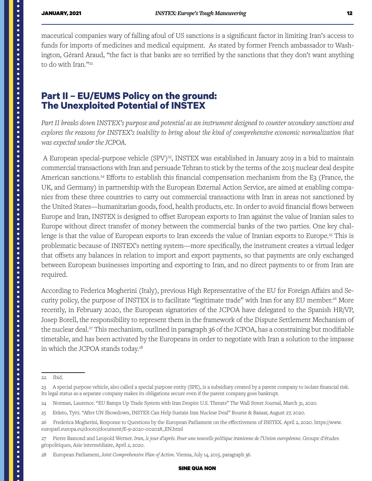maceutical companies wary of falling afoul of US sanctions is a significant factor in limiting Iran's access to funds for imports of medicines and medical equipment. As stated by former French ambassador to Washington, Gérard Araud, "the fact is that banks are so terrified by the sanctions that they don't want anything to do with Iran."<sup>22</sup>

#### **Part II – EU/EUMS Policy on the ground: The Unexploited Potential of INSTEX**

*Part II breaks down INSTEX's purpose and potential as an instrument designed to counter secondary sanctions and explores the reasons for INSTEX's inability to bring about the kind of comprehensive economic normalization that was expected under the JCPOA.* 

A European special-purpose vehicle (SPV)<sup>23</sup>, INSTEX was established in January 2019 in a bid to maintain commercial transactions with Iran and persuade Tehran to stick by the terms of the 2015 nuclear deal despite American sanctions.<sup>24</sup> Efforts to establish this financial compensation mechanism from the E3 (France, the UK, and Germany) in partnership with the European External Action Service, are aimed at enabling companies from these three countries to carry out commercial transactions with Iran in areas not sanctioned by the United States—humanitarian goods, food, health products, etc. In order to avoid financial flows between Europe and Iran, INSTEX is designed to offset European exports to Iran against the value of Iranian sales to Europe without direct transfer of money between the commercial banks of the two parties. One key challenge is that the value of European exports to Iran exceeds the value of Iranian exports to Europe.<sup>25</sup> This is problematic because of INSTEX's netting system—more specifically, the instrument creates a virtual ledger that offsets any balances in relation to import and export payments, so that payments are only exchanged between European businesses importing and exporting to Iran, and no direct payments to or from Iran are required.

According to Federica Mogherini (Italy), previous High Representative of the EU for Foreign Affairs and Security policy, the purpose of INSTEX is to facilitate "legitimate trade" with Iran for any EU member.<sup>26</sup> More recently, in February 2020, the European signatories of the JCPOA have delegated to the Spanish HR/VP, Josep Borell, the responsibility to represent them in the framework of the Dispute Settlement Mechanism of the nuclear deal.27 This mechanism, outlined in paragraph 36 of the JCPOA, has a constraining but modifiable timetable, and has been activated by the Europeans in order to negotiate with Iran a solution to the impasse in which the JCPOA stands today.<sup>28</sup>

<span id="page-11-0"></span>

<sup>22</sup> Ibid.

<sup>23</sup> A special purpose vehicle, also called a special purpose entity (SPE), is a subsidiary created by a parent company to isolate financial risk. Its legal status as a separate company makes its obligations secure even if the parent company goes bankrupt.

<sup>24</sup> Norman, Laurence. "EU Ramps Up Trade System with Iran Despite U.S. Threats" The Wall Street Journal, March 31, 2020.

<sup>25</sup> Erästo, Tytti. "After UN Showdown, INSTEX Can Help Sustain Iran Nuclear Deal" Bourse & Bazaar, August 27, 2020.

<sup>26</sup> Frederica Mogherini, Response to Questions by the European Parliament on the effectiveness of INSTEX. April 2, 2020. https://www. europarl.europa.eu/doceo/document/E-9-2020-002028\_EN.html

<sup>27</sup> Pierre Ramond and Leopold Werner. *Iran, le jour d'après. Pour une nouvelle politique iranienne de l'Union européenne.* Groupe d'études géopolitiques, Asie intermédiaire, April 2, 2020.

<sup>28</sup> European Parliament, *Joint Comprehensive Plan of Action.* Vienna, July 14, 2015, paragraph 36.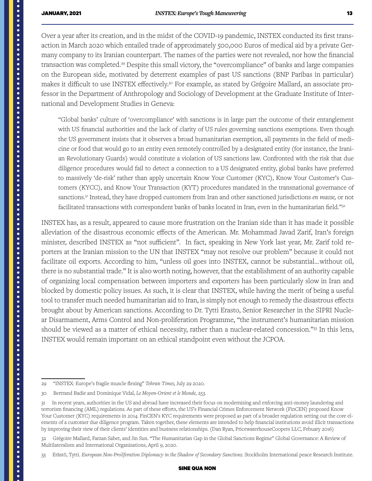Over a year after its creation, and in the midst of the COVID-19 pandemic, INSTEX conducted its first transaction in March 2020 which entailed trade of approximately 500,000 Euros of medical aid by a private Germany company to its Iranian counterpart. The names of the parties were not revealed, nor how the financial transaction was completed.<sup>29</sup> Despite this small victory, the "overcompliance" of banks and large companies on the European side, motivated by deterrent examples of past US sanctions (BNP Paribas in particular) makes it difficult to use INSTEX effectively.30 For example, as stated by Grégoire Mallard, an associate professor in the Department of Anthropology and Sociology of Development at the Graduate Institute of International and Development Studies in Geneva:

"Global banks' culture of 'overcompliance' with sanctions is in large part the outcome of their entanglement with US financial authorities and the lack of clarity of US rules governing sanctions exemptions. Even though the US government insists that it observes a broad humanitarian exemption, all payments in the field of medicine or food that would go to an entity even remotely controlled by a designated entity (for instance, the Iranian Revolutionary Guards) would constitute a violation of US sanctions law. Confronted with the risk that due diligence procedures would fail to detect a connection to a US designated entity, global banks have preferred to massively 'de-risk' rather than apply uncertain Know Your Customer (KYC), Know Your Customer's Customers (KYCC), and Know Your Transaction (KYT) procedures mandated in the transnational governance of sanctions.31 Instead, they have dropped customers from Iran and other sanctioned jurisdictions *en masse,* or not facilitated transactions with correspondent banks of banks located in Iran, even in the humanitarian field."32

INSTEX has, as a result, appeared to cause more frustration on the Iranian side than it has made it possible alleviation of the disastrous economic effects of the American. Mr. Mohammad Javad Zarif, Iran's foreign minister, described INSTEX as "not sufficient". In fact, speaking in New York last year, Mr. Zarif told reporters at the Iranian mission to the UN that INSTEX "may not resolve our problem" because it could not facilitate oil exports. According to him, "unless oil goes into INSTEX, cannot be substantial… without oil, there is no substantial trade." It is also worth noting, however, that the establishment of an authority capable of organizing local compensation between importers and exporters has been particularly slow in Iran and blocked by domestic policy issues. As such, it is clear that INSTEX, while having the merit of being a useful tool to transfer much needed humanitarian aid to Iran, is simply not enough to remedy the disastrous effects brought about by American sanctions. According to Dr. Tytti Erasto, Senior Researcher in the SIPRI Nuclear Disarmament, Arms Control and Non-proliferation Programme, "the instrument's humanitarian mission should be viewed as a matter of ethical necessity, rather than a nuclear-related concession."33 In this lens, INSTEX would remain important on an ethical standpoint even without the JCPOA.

32 Grégoire Mallard, Farzan Sabet, and Jin Sun. "The Humanitarian Gap in the Global Sanctions Regime" Global Governance: A Review of Multilateralism and International Organizations, April 9, 2020.

33 Erästö, Tytti. *European Non-Proliferation Diplomacy in the Shadow of Secondary Sanctions.* Stockholm International peace Research Institute.

<sup>29 &</sup>quot;INSTEX: Europe's fragile muscle flexing" *Tehran Times,* July 29 2020.

<sup>30</sup> Bertrand Badie and Dominique Vidal, *Le Moyen-Orient et le Monde,* 253.

<sup>31</sup> In recent years, authorities in the US and abroad have increased their focus on modernizing and enforcing anti-money laundering and terrorism financing (AML) regulations. As part of these efforts, the US's Financial Crimes Enforcement Network (FinCEN) proposed Know Your Customer (KYC) requirements in 2014. FinCEN's KYC requirements were proposed as part of a broader regulation setting out the core elements of a customer due diligence program. Taken together, these elements are intended to help financial institutions avoid illicit transactions by improving their view of their clients' identities and business relationships. (Dan Ryan, PricewaterhouseCoopers LLC, Febuary 2016)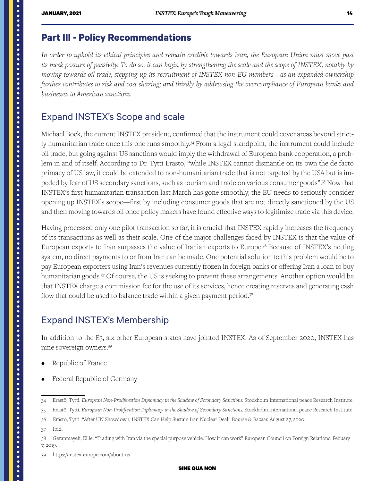# <span id="page-13-0"></span>**Part III - Policy Recommendations**

*In order to uphold its ethical principles and remain credible towards Iran, the European Union must move past its meek posture of passivity. To do so, it can begin by strengthening the scale and the scope of INSTEX, notably by moving towards oil trade; stepping-up its recruitment of INSTEX non-EU members—as an expanded ownership further contributes to risk and cost sharing; and thirdly by addressing the overcompliance of European banks and businesses to American sanctions.* 

#### Expand INSTEX's Scope and scale

Michael Bock, the current INSTEX president, confirmed that the instrument could cover areas beyond strictly humanitarian trade once this one runs smoothly.<sup>34</sup> From a legal standpoint, the instrument could include oil trade, but going against US sanctions would imply the withdrawal of European bank cooperation, a problem in and of itself. According to Dr. Tytti Erasto, "while INSTEX cannot dismantle on its own the de facto primacy of US law, it could be extended to non-humanitarian trade that is not targeted by the USA but is impeded by fear of US secondary sanctions, such as tourism and trade on various consumer goods".<sup>35</sup> Now that INSTEX's first humanitarian transaction last March has gone smoothly, the EU needs to seriously consider opening up INSTEX's scope—first by including consumer goods that are not directly sanctioned by the US and then moving towards oil once policy makers have found effective ways to legitimize trade via this device.

Having processed only one pilot transaction so far, it is crucial that INSTEX rapidly increases the frequency of its transactions as well as their scale. One of the major challenges faced by INSTEX is that the value of European exports to Iran surpasses the value of Iranian exports to Europe.36 Because of INSTEX's netting system, no direct payments to or from Iran can be made. One potential solution to this problem would be to pay European exporters using Iran's revenues currently frozen in foreign banks or offering Iran a loan to buy humanitarian goods.37 Of course, the US is seeking to prevent these arrangements. Another option would be that INSTEX charge a commission fee for the use of its services, hence creating reserves and generating cash flow that could be used to balance trade within a given payment period.<sup>38</sup>

### Expand INSTEX's Membership

In addition to the E3, six other European states have jointed INSTEX. As of September 2020, INSTEX has nine sovereign owners:39

- Republic of France
- Federal Republic of Germany

37 Ibid.

<sup>34</sup> Erästö, Tytti. *European Non-Proliferation Diplomacy in the Shadow of Secondary Sanctions.* Stockholm International peace Research Institute.

<sup>35</sup> Erästö, Tytti. *European Non-Proliferation Diplomacy in the Shadow of Secondary Sanctions.* Stockholm International peace Research Institute.

<sup>36</sup> Erästo, Tytti. "After UN Showdown, INSTEX Can Help Sustain Iran Nuclear Deal" Bourse & Bazaar, August 27, 2020.

<sup>38</sup> Geranmayeh, Ellie. "Trading with Iran via the special purpose vehicle: How it can work" European Council on Foreign Relations. Febuary 7, 2019.

<sup>39</sup> https://instex-europe.com/about-us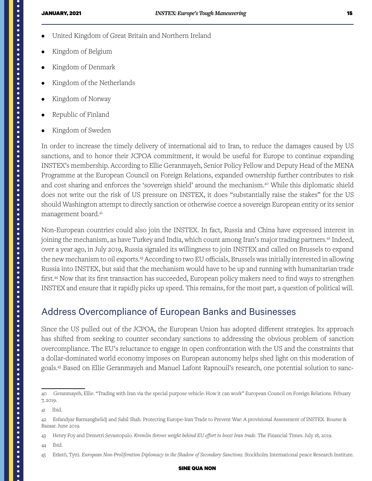- United Kingdom of Great Britain and Northern Ireland
- Kingdom of Belgium
- Kingdom of Denmark
- Kingdom of the Netherlands
- Kingdom of Norway
- Republic of Finland
- Kingdom of Sweden

In order to increase the timely delivery of international aid to Iran, to reduce the damages caused by US sanctions, and to honor their JCPOA commitment, it would be useful for Europe to continue expanding INSTEX's membership. According to Ellie Geranmayeh, Senior Policy Fellow and Deputy Head of the MENA Programme at the European Council on Foreign Relations, expanded ownership further contributes to risk and cost sharing and enforces the 'sovereign shield' around the mechanism.<sup>40</sup> While this diplomatic shield does not write out the risk of US pressure on INSTEX, it does "substantially raise the stakes" for the US should Washington attempt to directly sanction or otherwise coerce a sovereign European entity or its senior management board.41

Non-European countries could also join the INSTEX. In fact, Russia and China have expressed interest in joining the mechanism, as have Turkey and India, which count among Iran's major trading partners.<sup>42</sup> Indeed, over a year ago, in July 2019, Russia signaled its willingness to join INSTEX and called on Brussels to expand the new mechanism to oil exports.<sup>43</sup> According to two EU officials, Brussels was initially interested in allowing Russia into INSTEX, but said that the mechanism would have to be up and running with humanitarian trade first.<sup>44</sup> Now that its first transaction has succeeded, European policy makers need to find ways to strengthen INSTEX and ensure that it rapidly picks up speed. This remains, for the most part, a question of political will.

### Address Overcompliance of European Banks and Businesses

Since the US pulled out of the JCPOA, the European Union has adopted different strategies. Its approach has shifted from seeking to counter secondary sanctions to addressing the obvious problem of sanction overcompliance. The EU's reluctance to engage in open confrontation with the US and the constraints that a dollar-dominated world economy imposes on European autonomy helps shed light on this moderation of goals.45 Based on Ellie Geranmayeh and Manuel Lafont Rapnouil's research, one potential solution to sanc-

<span id="page-14-0"></span>

44 Ibid.

<sup>40</sup> Geranmayeh, Ellie. "Trading with Iran via the special purpose vehicle: How it can work" European Council on Foreign Relations. Febuary 7, 2019.

<sup>41</sup> Ibid.

<sup>42</sup> Esfandyar Batmanghelidj and Sahil Shah. Protecting Europe-Iran Trade to Prevent War: A provisional Assessment of INSTEX. Bourse & Bazaar. June 2019.

<sup>43</sup> Henry Foy and Demetri Sevastopulo. *Kremlin throws weight behind EU effort to boost Iran trade.* The Financial Times. July 18, 2019.

<sup>45</sup> Erästö, Tytti. *European Non-Proliferation Diplomacy in the Shadow of Secondary Sanctions.* Stockholm International peace Research Institute.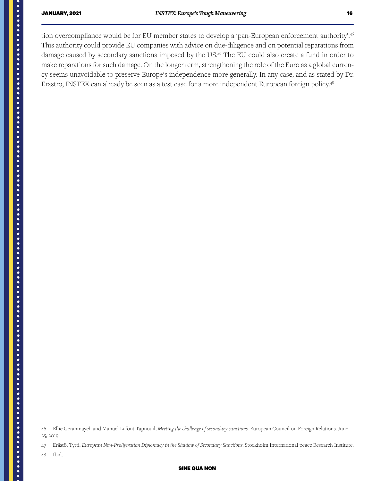tion overcompliance would be for EU member states to develop a 'pan-European enforcement authority'.<sup>46</sup> This authority could provide EU companies with advice on due-diligence and on potential reparations from damage caused by secondary sanctions imposed by the US.47 The EU could also create a fund in order to make reparations for such damage. On the longer term, strengthening the role of the Euro as a global currency seems unavoidable to preserve Europe's independence more generally. In any case, and as stated by Dr. Erastro, INSTEX can already be seen as a test case for a more independent European foreign policy.48

48 Ibid.

<sup>46</sup> Ellie Geranmayeh and Manuel Lafont Tapnouil, *Meeting the challenge of secondary sanctions.* European Council on Foreign Relations. June 25, 2019.

<sup>47</sup> Erästö, Tytti. *European Non-Proliferation Diplomacy in the Shadow of Secondary Sanctions*. Stockholm International peace Research Institute.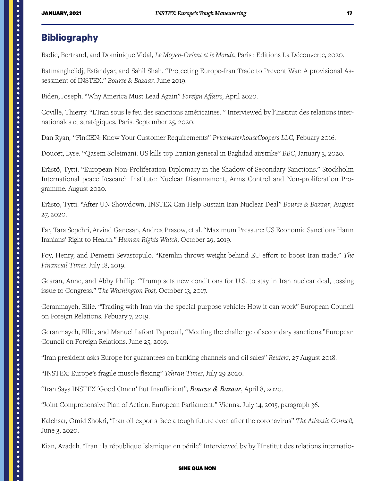#### **Bibliography**

Badie, Bertrand, and Dominique Vidal, *Le Moyen-Orient et le Monde*, Paris : Editions La Découverte, 2020.

Batmanghelidj, Esfandyar, and Sahil Shah. "Protecting Europe-Iran Trade to Prevent War: A provisional Assessment of INSTEX." *Bourse & Bazaar.* June 2019.

Biden, Joseph. "Why America Must Lead Again" *Foreign Affairs,* April 2020.

Coville, Thierry. "L'Iran sous le feu des sanctions américaines. " Interviewed by l'Institut des relations internationales et stratégiques, Paris. September 25, 2020.

Dan Ryan*,* "FinCEN: Know Your Customer Requirements" *PricewaterhouseCoopers LLC,* Febuary 2016.

Doucet, Lyse. "Qasem Soleimani: US kills top Iranian general in Baghdad airstrike" *BBC*, January 3, 2020.

Erästö, Tytti. "European Non-Proliferation Diplomacy in the Shadow of Secondary Sanctions." Stockholm International peace Research Institute: Nuclear Disarmament, Arms Control and Non-proliferation Programme. August 2020.

Erästo, Tytti. "After UN Showdown, INSTEX Can Help Sustain Iran Nuclear Deal" *Bourse & Bazaar,* August 27, 2020.

Far, Tara Sepehri, Arvind Ganesan, Andrea Prasow, et al. "Maximum Pressure: US Economic Sanctions Harm Iranians' Right to Health." *Human Rights Watch,* October 29, 2019.

Foy, Henry, and Demetri Sevastopulo. "Kremlin throws weight behind EU effort to boost Iran trade." *The Financial Times.* July 18, 2019.

Gearan, Anne, and Abby Phillip. "Trump sets new conditions for U.S. to stay in Iran nuclear deal, tossing issue to Congress." *The Washington Post,* October 13, 2017.

Geranmayeh, Ellie. "Trading with Iran via the special purpose vehicle: How it can work" European Council on Foreign Relations. Febuary 7, 2019.

Geranmayeh, Ellie, and Manuel Lafont Tapnouil, "Meeting the challenge of secondary sanctions."European Council on Foreign Relations. June 25, 2019.

"Iran president asks Europe for guarantees on banking channels and oil sales" *Reuters,* 27 August 2018.

"INSTEX: Europe's fragile muscle flexing" *Tehran Times*, July 29 2020.

"Iran Says INSTEX 'Good Omen' But Insufficient", *Bourse & Bazaar*, April 8, 2020.

"Joint Comprehensive Plan of Action. European Parliament." Vienna. July 14, 2015, paragraph 36.

Kalehsar, Omid Shokri, "Iran oil exports face a tough future even after the coronavirus" *The Atlantic Council,*  June 3, 2020.

Kian, Azadeh. "Iran : la république Islamique en périle" Interviewed by by l'Institut des relations internatio-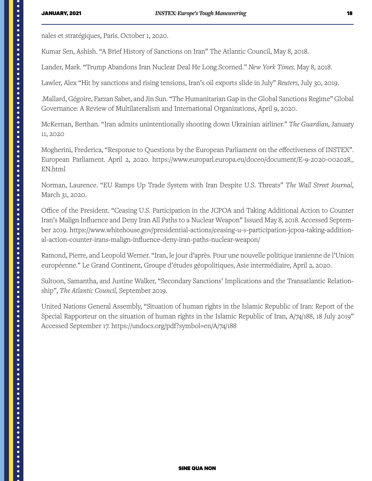nales et stratégiques, Paris. October 1, 2020.

Kumar Sen, Ashish. "A Brief History of Sanctions on Iran" The Atlantic Council, May 8, 2018.

Lander, Mark. "Trump Abandons Iran Nuclear Deal He Long Scorned." *New York Times.* May 8, 2018.

Lawler, Alex "Hit by sanctions and rising tensions, Iran's oil exports slide in July" *Reuters,* July 30, 2019.

.Mallard, Gégoire, Farzan Sabet, and Jin Sun. "The Humanitarian Gap in the Global Sanctions Regime" Global Governance: A Review of Multilateralism and International Organizations, April 9, 2020.

McKernan, Berthan. "Iran admits unintentionally shooting down Ukrainian airliner." *The Guardian,* January 11, 2020

Mogherini, Frederica, "Response to Questions by the European Parliament on the effectiveness of INSTEX". European Parliament. April 2, 2020. [https://www.europarl.europa.eu/doceo/document/E-9-2020-002028\\_](https://www.europarl.europa.eu/doceo/document/E-9-2020-002028_EN.html) EN<sub>htm</sub>l

Norman, Laurence. "EU Ramps Up Trade System with Iran Despite U.S. Threats" *The Wall Street Journal,*  March 31, 2020.

Office of the President. "Ceasing U.S. Participation in the JCPOA and Taking Additional Action to Counter Iran's Malign Influence and Deny Iran All Paths to a Nuclear Weapon" Issued May 8, 2018. Accessed September 2019. [https://www.whitehouse.gov/presidential-actions/ceasing-u-s-participation-jcpoa-taking-addition](https://www.whitehouse.gov/presidential-actions/ceasing-u-s-participation-jcpoa-taking-additional-action-counter-irans-malign-influence-deny-iran-paths-nuclear-weapon/)[al-action-counter-irans-malign-influence-deny-iran-paths-nuclear-weapon/](https://www.whitehouse.gov/presidential-actions/ceasing-u-s-participation-jcpoa-taking-additional-action-counter-irans-malign-influence-deny-iran-paths-nuclear-weapon/)

Ramond, Pierre, and Leopold Werner. "Iran, le jour d'après. Pour une nouvelle politique iranienne de l'Union européenne." Le Grand Continent, Groupe d'études géopolitiques, Asie intermédiaire, April 2, 2020.

Sultoon, Samantha, and Justine Walker, "Secondary Sanctions' Implications and the Transatlantic Relationship", *The Atlantic Council,* September 2019.

United Nations General Assembly, "Situation of human rights in the Islamic Republic of Iran: Report of the Special Rapporteur on the situation of human rights in the Islamic Republic of Iran, A/74/188, 18 July 2019" Accessed September 17.<https://undocs.org/pdf?symbol=en/A/74/188>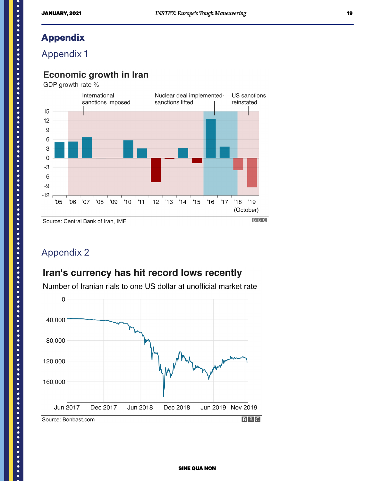## **Appendix**

Appendix 1

#### **Economic growth in Iran**

GDP growth rate %



## Appendix 2

## Iran's currency has hit record lows recently

Number of Iranian rials to one US dollar at unofficial market rate